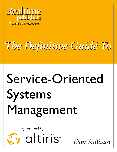

"Leading the Conversation"

# The Definitive Guide To

# Service-Oriented Systems Management

sponsored by



altiris<sup>®</sup>

Dan Sullivan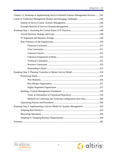| Chapter 12: Roadmap to Implementing Service-Oriented Systems Management Services245 |  |
|-------------------------------------------------------------------------------------|--|
|                                                                                     |  |
|                                                                                     |  |
|                                                                                     |  |
|                                                                                     |  |
|                                                                                     |  |
|                                                                                     |  |
|                                                                                     |  |
|                                                                                     |  |
|                                                                                     |  |
|                                                                                     |  |
|                                                                                     |  |
|                                                                                     |  |
|                                                                                     |  |
|                                                                                     |  |
|                                                                                     |  |
|                                                                                     |  |
|                                                                                     |  |
|                                                                                     |  |
|                                                                                     |  |
|                                                                                     |  |
|                                                                                     |  |
| Methods for Collecting and Verifying Configuration Item Data260                     |  |
|                                                                                     |  |
| Roadmap Step 3: Implementing a Service Model for Systems Management 262             |  |
|                                                                                     |  |
|                                                                                     |  |
|                                                                                     |  |
|                                                                                     |  |



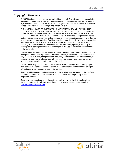# *Copyright Statement*

© 2007 Realtimepublishers.com, Inc. All rights reserved. This site contains materials that have been created, developed, or commissioned by, and published with the permission of, Realtimepublishers.com, Inc. (the "Materials") and this site and any such Materials are protected by international copyright and trademark laws.

THE MATERIALS ARE PROVIDED "AS IS" WITHOUT WARRANTY OF ANY KIND, EITHER EXPRESS OR IMPLIED, INCLUDING BUT NOT LIMITED TO, THE IMPLIED WARRANTIES OF MERCHANTABILITY, FITNESS FOR A PARTICULAR PURPOSE, TITLE AND NON-INFRINGEMENT. The Materials are subject to change without notice and do not represent a commitment on the part of Realtimepublishers.com, Inc or its web site sponsors. In no event shall Realtimepublishers.com, Inc. or its web site sponsors be held liable for technical or editorial errors or omissions contained in the Materials, including without limitation, for any direct, indirect, incidental, special, exemplary or consequential damages whatsoever resulting from the use of any information contained in the Materials.

The Materials (including but not limited to the text, images, audio, and/or video) may not be copied, reproduced, republished, uploaded, posted, transmitted, or distributed in any way, in whole or in part, except that one copy may be downloaded for your personal, noncommercial use on a single computer. In connection with such use, you may not modify or obscure any copyright or other proprietary notice.

The Materials may contain trademarks, services marks and logos that are the property of third parties. You are not permitted to use these trademarks, services marks or logos without prior written consent of such third parties.

Realtimepublishers.com and the Realtimepublishers logo are registered in the US Patent & Trademark Office. All other product or service names are the property of their respective owners.

If you have any questions about these terms, or if you would like information about licensing materials from Realtimepublishers.com, please contact us via e-mail at [info@realtimepublishers.com](mailto:info@realtimepublishers.com).



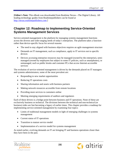<span id="page-3-0"></span>[**Editor's Note:** This eBook was downloaded from Realtime Nexus—The Digital Library. All leading technology guides from Realtimepublishers can be found at [http://nexus.realtimepublishers.com.](http://nexus.realtimepublishers.com/)]

# **Chapter 12: Roadmap to Implementing Service-Oriented Systems Management Services**

Service-oriented management is the platform for managing systems management functions across the diverse and wide-ranging needs of today's enterprises. The platform takes a functionrather than device-specific focus for several reasons:

- The need to stay aligned with business objectives requires an agile management structure
- Demands on IT management, such as compliance, apply to IT services not to specific devices
- Devices accessing enterprise resources may be managed (owned by the enterprise), semimanaged (owned by employees but subject to some IT policies, such as smartphones), or unmanaged, such as public kiosks and customer PCs that access Internet-accessible services

The evolution of service-oriented management is driven by the demands placed on IT managers and systems administrators; some of the most prevalent are:

- Responding to new market opportunities
- Reducing IT operations costs
- Sharing information and assets with business partners
- Making network resources accessible from remote locations
- Providing more services to customers online
- Meeting emerging requirements of auditors and regulators

Each of these drivers is a bridge point between business and IT operations. None of these are exclusively business or technical. The divisions between the technical and non-technical (or business) sides are fast becoming a legacy of earlier times. This chapter provides a roadmap for implementing service-oriented management by examining four topics:

- Limits of traditional management models in light of emerging challenges in systems management
- Current status of IT operations
- Transition to mature service model
- Implementation of a service model for systems management

As noted earlier, evolving demands on IT are bringing IT and business operations closer than they have been in the past.



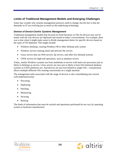# <span id="page-4-0"></span>**Limits of Traditional Management Models and Emerging Challenges**

Some may wonder why systems management practices need to change, but the fact is that the demands on IT are evolving just as much as the underlying technology.

# *Demise of Device-Centric Systems Management*

Traditional management models that focused on fixed functions or OSs for devices may not fit neatly with the way devices are deployed and reused in today's environments. For example, there was a time when it might make sense to divide management duties for specific devices based on the types of OS deployed. This might include:

- Windows desktops, running Windows 98 or other desktop-only system
- Windows servers running email and network file servers
- Linux servers that ran Web servers, ftp servers, and other low-demand systems
- UNIX servers for high-end operations, such as database servers

Today, similar Windows systems run from notebooks to servers with dual-core processors just as likely in desktops as servers. Linux servers are now just as likely to host full relational database systems as UNIX platforms are. And devices are not even limited to single OSs—virtualization allows multiple different OSs running concurrently on a single machine.

The management tasks associated with the range of devices is also consolidating into several well-understood areas:

- Procuring
- Deploying
- Patching
- Monitoring
- Securing
- Retiring

The kinds of information that must be tracked and operations performed do not vary by operating system or hardware manufacturer.



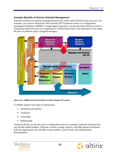## <span id="page-5-0"></span>*Example Benefits of Service-Oriented Management*

With this evolution of systems management practices comes some beneficial new practices. For example, you can now effectively track virtually all IT hardware assets in a configuration management database (CMDB). A single logical repository can provide more efficient access to information about the state of an organization's infrastructure than if the information were along the lines of platform type or assigned managers.



*Figure 12.1: CMDBs provide the means to track virtually all IT assets.* 

A CMDB captures four types of information:

- Standards and baseline
- Technical
- Ownership
- Relationship

Technical details vary by the type of configuration item. For example, hardware technical data can include model numbers, firmware versions, storage capacity, and other physical attributes. Software applications may include version numbers, patch levels, and administration documentation.



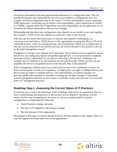<span id="page-6-0"></span>Ownership information tracks the organizational dimension of a configuration item. This can include the business unit responsible for the services provided by a configuration item. For example, the finance department may be the owner of a server and enterprise resource planning (ERP) application. Ownership may be distinct from responsibility, which should also be tracked in a CMDB. A group within the IT department may have responsibility for the application server owned by the finance department in the previous example.

Relationship data describes how configuration items depend on one another or are used together. For example, a UNIX server may depend on a particular router in the network.

Take the case of a newly discovered piece of malware that exploits a vulnerability in a commonly used code library. Which devices in the organization are using that library? Of all the vulnerable devices, which are running mission-critical operations? Which are on mobile devices that may not be connected to the network and may not receive the patch when pushed to devices by the patch management system?

Compliance is forcing a new regimen on IT operations. More controls are now required to ensure that devices are configured properly and patched appropriately. It is not uncommon to establish minimum security requirements for any device connecting to the network. Notebooks, for example, may be required to run anti-malware and personal firewalls. If these services are not available, the device is not granted access to the network. How is this enforced?

Policy management solutions and access control devices have to be coordinated to ensure any device accessing the network is in compliance. A single policy can apply to multiple devices and devices may be subject to multiple policies. The responsibilities of systems managers are growing rapidly and automation is essential to keeping up with these changes. If automated systems management solutions are not in place, or partially in place, the first step is to assess the state of IT management practices.

# **Roadmap Step 1: Assessing the Current Status of IT Practices**

IT practices are so wed to the particulars of the technology deployed in an organization that it is easy to underestimate the importance of the business drivers behind IT operations. For this reason, the first step in preparing for the move to a service-oriented model of systems management is to understand the following:

- Overall business strategy and goals
- The state of IT alignment with business strategy
- The risk tolerance of the organization

The purpose of this step is to ensure that the technical decision making in later stages is done in a way that supports the broad objectives of the organization.



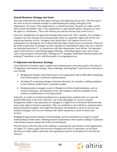# <span id="page-7-0"></span>*Overall Business Strategy and Goals*

This may sound obvious, but then again, starting at the beginning always does. The first step in the move to service-oriented strategies is understanding the strategy and goals of the organization. Of course, if the organization is a commercial entity, the goal is to make a profit and increase shareholder value; if the organization is a government agency, the goal is to serve the agency's constituency. That is the obvious part; the less obvious part is how to do it.

Executive management sets goals and strategies that answer the "how" question. For example, a company may have the goal of increasing market share in a particular region and will do it by improving customer service. An agency may decide that it will improve service to its constituency by reducing the cost of delivering three high-volume service transactions. These are the kinds of goals that IT manager can take as guides to formulating IT plans; they are in essence the functional goals that IT, in conjunction with other departments, must deliver. An important aspect of this process is prioritizing support offerings, controlling support costs, and in some cases, outsourcing low-end priorities. Making sure IT managers understand functional goals and keeping IT operations in sync with those goals is an ongoing process.

# *IT Alignment and Business Strategy*

Clear definition of business goals coupled with communication about those goals is the basis of IT alignment with business strategy. Some challenges with keeping IT and executive direction in sync include:

- Bridging the business and technical parts of an organization due to difficulties translating from business goals to technical implementations
- Including IT in planning changes in business direction; for example, a shifting emphasis to new markets, product lines, or business models
- Keeping business managers aware of changes in technical implementations, such as resource limitations, development cycles, and changes to delivery schedules of new systems or modifications to existing systems

Ironically, it is often not technical problems but communication problems that can cause the greatest difficulties at this level. However, one of the advantages of a service-oriented management model is that operations are managed at a higher level of technical abstraction that more easily aligns to business operations. This can contribute to more effective communications between business managers who might describe goals and problems in terms of services and technical managers who can now measure and control operations in terms of those same services.

Bridging the gap between business and technology concerns and objectives requires a sound understanding of both realms. Meeting business requirements often requires staffing IT operation with business analysts along with technical professionals.

The final piece of the first step of the roadmap is assessing the risk tolerance of the organization. As Figure 12.2 shows, goals and executive strategies may drive IT operations, but all these decisions are made within a particular and organization-specific environment for risk and risk tolerance.



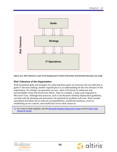<span id="page-8-0"></span>

*Figure 12.2: Risk tolerance is part of the background in which all business and technical decisions are made.* 

# *Risk Tolerance of the Organization*

Well-formulated goals and strategies for achieving those goals are necessary but not sufficient to guide IT decision making; another required piece is an understanding for the risk tolerance of the organization. No strategy can guarantee success—there will always be unknowns and uncontrollable events that thwart best efforts. Take for example, a large-scale migration to Microsoft Vista. Although best practices, such as the Business Desktop Deployment guidelines, can help with the planning and assessment, the potential for problems still exist. Risks include operational downtime due to software incompatibilities, insufficient hardware, errors in establishing access controls, and insufficient service desk resources.

**Example 7 For more on Vista migration, see the [Microsoft Desktop Deployment Center](http://www.microsoft.com/technet/desktopdeployment/bdd/2007/default.mspx?WT.mc_id=bddov) and the Altiris Vista** [Resource Center.](http://www.altiris.com/campaigns/vista.aspx)



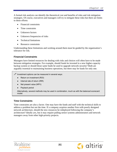<span id="page-9-0"></span>A formal risk analysis can identify the theoretical cost and benefits of risks and risk mitigation strategies. Of course, executives and managers will try to mitigate these risks but there are limits to these efforts:

- Financial constraints
- Time constraints
- Unknown factors
- Unknown frequencies of risks
- Technical limitations
- Resource constraints

Understanding these limitations and working around them must be guided by the organization's tolerance for risk.

# **Financial Constraints**

Managers have limited resources for dealing with risks and choices will often have to be made between mitigation strategies. For example, should funds be invested in a new higher-capacity backup system or should those same funds be used to upgrade network security? Both are arguably essential to maintaining business operations, but there may be funds for only one.

- $\mathscr{P}$  Investment options can be measured in several ways:
	- Return on investment (ROI)
	- Internal rate of return (IRR)
	- Net present value (NPV)
	- Payback period

 Alternatively, several methods may be used in combination, much as with the balanced scorecard model.

# **Time Constraints**

Time constraints are also a factor. One may have the funds and staff with the technical skills to address a problem but not the time. If a company acquires another firm with poorly designed network architecture, should the new resources be redeployed following the company's architecture? Ideally yes, but it may require pulling senior systems administrators and network managers away from other high-priority projects.



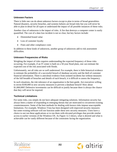# <span id="page-10-0"></span>**Unknown Factors**

There is little one can do about unknown factors except to plan in terms of broad generalities. Natural disasters, security breaches, and systems failures are broad risks but you will never be able to plan in detail for all types or understand the impact of all possible instances of these risks.

Another class of unknowns is the impact of risks. A fire that destroys a computer center is easily quantified. The cost of a data loss incident is not so clear, but key factors include:

- Diminished brand value
- Loss of customer loyalty
- Fines and other compliance costs

In addition to these kinds of unknowns, another group of unknowns add to risk assessment difficulties.

# **Unknown Frequencies of Risks**

Weighing the impact of risks requires understanding the expected frequency of those risks occurring. For example, if an IT center is built on a 50-year flood plain, one can estimate the expected cost of the risk associated with floods.

Unfortunately, not all risks are so well understood. For example, there is little historical evidence to estimate the probability of a successful breach of database security and the theft of customer financial information. There is anecdotal evidence from isolated incidents but without measures of the full breadth of breaches and details of each breach, it is difficult to assess the frequency.

In such situations, the risk tolerance of an organization is the best guide. Are executives willing to invest \$100,000 in new security measures to prevent a database breach? How about \$1,000,000? Defensive investments can be difficult to justify because there is always the chance that they will never be required.

# **Technical Limitations**

For some risks, you simply do not have adequate mitigating solutions. Information security has always been a matter of responding to emerging threats that are motivated to circumvent existing countermeasures. Some of the best methods for dealing with known risks impose unacceptable limitations. For example, Windows Vista has been designed with improved security measures but some existing software will not function under these new security measures. Users have a choice to not run these applications or to run them with elevated privileges that provide similar access to earlier versions of the Windows OS. As Figure 12.3 shows, what is desired and what is achievable can be vastly different because of the constraints facing the organization.



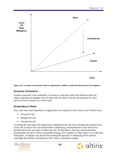<span id="page-11-0"></span>

*Figure 12.3: A variety of constraints limit an organization's ability to reach the ideal level of risk mitigation.* 

#### **Resource Constraints**

Another constraint is the availability of resources, especially staff with sufficient skill sets. Again, planning can mitigate some of these risks but there is always the potential for a key person to leave a project at a critical time.

# **Responding to Risks**

Once risks have been identified, an organization can respond to those risks in one of three ways:

- Accept the risk
- Mitigate the risk
- Transfer the risk

Accepting the risk means the organization understands the risk, has evaluated the potential costs of the risk as well as the costs and benefits of deploying countermeasures to the risk but has decided not to take any steps to reduce the risk. At first glance, this may sound somewhat irresponsible, but this is often a reasonable strategy. For example, if a data center is in a 100-year flood plain, a company may decide that moving the operation or deploying flood controls outweighs the benefits; accepting the risk is then a reasonable strategy.



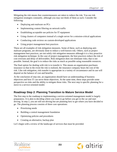<span id="page-12-0"></span>Mitigating the risk means that countermeasures are taken to reduce the risk. You use risk mitigation strategies constantly, although you may not think of them as such. Consider the following:

- Deploying anti-malware on PCs
- Implementing content filtering on network traffic
- Establishing acceptable use policies for IT equipment
- Using clusters of computers instead of a single server for a mission-critical applications
- Conducting code reviews on custom-developed applications
- Using project management best practices

These are all examples of risk mitigation measures. Some of these, such as deploying antimalware programs, are obviously done to reduce a well-known risk. Others, such as project management best practices, are not solely risk mitigation measures although it is a key proactive risk mitigation technique. In the case of project management, the best practices reduce the risk of cost overruns and delay of deliverables. Risk mitigation does not eliminate risks; that is not possible. Instead, the goal is to reduce the risks as much as possible using reasonable resources.

The final option for dealing with risk is to transfer it. This means an organization purchases insurance so that in the event the risk is realized, the insurance company bears the cost of the risk. Like risk mitigation, risk transfer is appropriate in a variety of circumstance and its use will depend on the balance of cost and benefits.

At the conclusion of step one, an organization should have an understanding of business objectives and how IT can serve those objectives. At the same time, these steps provide some perspective on risks and the ability to mitigate those risks. The next step is specific planning for a move to a service-oriented model.

# **Roadmap Step 2: Planning Transition to Mature Service Model**

The first step in the roadmap to implementing a service-oriented management model is largely preparatory. It is akin to deciding where you want to go before you get in the car and start driving. In step 2, you are still not driving but are planning how to get where you have decided to go. The planning process consists of three core operations:

- Prioritizing needs
- Building a central management foundation
- Optimizing policies and procedures
- Creating an alternative, backup plan

Let's begin with a review of the landscape of services that must be provided.



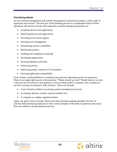# <span id="page-13-0"></span>*Prioritizing Needs*

Service-oriented management and systems management in general encompass a wide range of operations and services. The first part of the planning process is to understand which of these operations and services are the most important; common among top priorities are:

- Acquiring devices and applications
- Deploying devices and applications
- Providing service desk support
- Ensuring asset management
- Maintaining systems availability
- Monitoring systems
- Auditing and compliance reporting
- Developing applications
- Securing databases and hosts
- Enforcing policies
- Improving quality controls on IT procedures
- Ensuring application compatibility

Each of these could justifiably be considered top priorities depending on the circumstances. There is no single right answer to the question, "Where should we start?" Rather than try to force a one-size-fits-all answer to that question, it may be more useful to examine a few scenarios to see how varying circumstances shift priorities. These will include:

- A new business without an existing systems management structure
- A company that has recently acquired another firm
- A company in a highly regulated market

Again, the goal is not to provide a black-and-white decision-making procedure for how to proceed with prioritizing needs but to show some examples of the kinds of questions and issues that may influence the prioritization process.



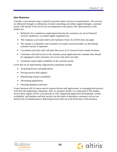#### <span id="page-14-0"></span>**New Business**

Consider a new business that is started to provide online services to manufacturers. The services are delivered through a combination of onsite consulting and online support through a customer portal. (The details of the service are not important at this point.) The characteristics of the market are:

- Relatively few compliance requirements because the customers are not in financial services, healthcare, or another highly regulated area
- The company is privately held so the Sarbanes-Oxley Act (SOX) does not apply
- The market is competitive and customers can easily switch providers, so developing customer loyalty is important
- Consultants and sales staff will need full access to IT resources from remote locations
- Customers will need access to the customer portal application but customer data should be segregated so that customers can access only their own data
- Customers expect high availability of the customer portal

Given this set of requirements, high-priority operations include:

- Acquiring devices and applications
- Proving service desk support
- Maintaining systems availability
- Developing applications
- Securing databases and hosts

A new business will of course need to acquire devices and applications, so managing that process well from the beginning is important. Also, as customer loyalty is so important in this market, service desk support will be a top priority as well. Supporting application development, system availability, and database and host security are the kinds of operations customers will not see directly but are fundamental to delivering services that are at the front lines of the business.



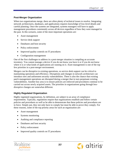# <span id="page-15-0"></span>**Post-Merger Organization**

When two organizations merge, there are often plenty of technical issues to resolve. Integrating network architectures, databases, and applications requires knowledge of low-level details and careful planning. Once the systems are integrated, systems managers will have to apply management procedures consistently across all devices regardless of how they were managed in the past. In this scenario, some of the most important operations are:

- Asset management
- Service desk support
- Databases and host security
- Policy enforcement
- Improved quality controls on IT procedures
- Configuration management

One of the first challenges to address in a post-merger situation is compiling an accurate inventory. You cannot manage a device if you do not know you have it or if you do not know where it is or what kinds of applications are running on it. Asset management is one of the top few priorities in a post-merger environment.

Mergers can be disruptive to existing operations, so service desk support can be critical to maintaining operations and efficiency. Disruptions and changes in network architecture can introduce new and unforeseen security vulnerabilities. There is also the chance that existing patch management operations are disrupted during a merger that in turn perpetuate existing vulnerabilities. Another key area is to ensure policies are enforced and procedures continue to be carried out across newly acquired assets. The priorities in organizations going through lessdisruptive changes are somewhat different.

# **Highly Regulated Organization**

Highly regulated organizations, by definition, are subject to an array of compliance requirements. Typically, regulations require that organizations establish and follow certain policies and procedures as well as be able to demonstrate that these policies and procedures are in force. Simply put, they not only have to comply but must be able to prove they comply. For these reasons, some of the top priority areas for such an organization are:

- Asset management
- Systems monitoring
- Auditing and compliance reporting
- Databases and host security
- Policy enforcement
- Improved quality controls on IT procedures



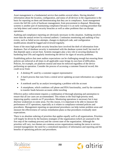Asset management is a fundamental service that enables several others. Having detailed information about the location, configuration, and status of all devices in the organization is the basis for reporting on them and demonstrating that they are in compliance. Asset management covers the full life cycle of hardware management, from procurement to disposal. Monitoring systems is another part of maintaining compliance because it is an early warning procedure that can help detect and control security breaches as well as other problems that can disrupt operations.

Auditing and compliance reporting are obviously necessary in this situation. Auditing involves more than the annual review by external auditors. Continuous monitoring and auditing of key events, such as failed access attempts, changes to deployed code, and configuration modifications should be logged and reviewed regularly.

Some of the most high-profile security breaches have involved the theft of information from databases. Part of database security is maintained with the database system itself, but much of that depends upon a secure host. Systems managers play a key role in securing databases by hardening host OSs and regularly monitoring the device for signs of security problems.

Establishing polices that meet auditor expectations can be challenging enough but ensuring those policies are enforced at all times in all applicable cases brings its own host of difficulties. Policies, for example, are platform neutral and must be enforced regardless of the device performing an operation. Consider the process of accessing a customer financial record; this could occur from:

- A desktop PC used by a customer support representative
- A batch process that runs from a central server updating account information on a regular basis
- A notebook used by an analyst investigating a problem with the account
- A smartphone, which combines cell phone and PDA functionality, used by the customer to transfer funds between accounts while traveling

Effective policy enforcement requires a combination of thorough planning and automation to ensure that all use cases are accommodated. This relates to the final high-priority need, improving quality controls on IT procedures. Monitoring operations is necessary but it may disclose weaknesses in some areas. For this reason, it is important to be able to measure the performance of IT operations, especially as it relates to compliance-oriented policies and procedures. Management reporting on operational procedures can help isolate problem areas and measure the effectiveness of various remediation plans so that procedures eventually meet expectations.

There is no absolute ordering of priorities that applies equally well to all organizations. Priorities will largely be driven by the business strategies of the organization (which are assessed in the first step of the roadmap process) and the current state of the organization. Although the priorities will vary, two themes are common across organizations making the move to serviceoriented management: the need for a centralized repository of information and reporting and the benefits of optimizing policies and procedures.



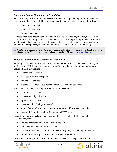# <span id="page-17-0"></span>*Building a Central Management Foundation*

Most, if not all, tasks associated with service-oriented management require or are made more efficient with the use of a CMDB, and some in particular, are virtually impossible without it:

- Change management
- Incident management
- Patch management

All these operations depend upon knowing what assets are in the organization, how they are configured, and how they relate to one another. A centralized repository provides information about individual assets as well as relationships between assets to delivered and agreed upon services. Gathering, verifying, and maintaining this can be a significant undertaking.

**Creating and maintaining a CMDB is a well-established systems management practice. It is a central** element of the ITIL framework; for more information about ITIL see, [http://www.itil.co.uk/.](http://www.itil.co.uk/)

# **Types of Information in Centralized Repository**

Building a centralized repository of information in a CMDB is best done in stages. First, the sections of the IT infrastructure should be prioritized and the most important configuration items addressed. This may include:

- Mission-critical servers
- PCs used in front-line support
- Key network devices
- In some cases, lines of business and other organizational structures

For each of these, the following information should be collected:

- OS running on the device
- OS version and patch status
- Applications on the device
- Location within the logical network
- Status of required software, such as anti-malware and host-based firewalls
- Network information, such as IP address and DNS server

In addition, relationships between devices should also be collected. This can include dependencies, such as:

- Devices dependent on particular routers and switches
- IP devices dependent on particular DNS servers
- Content filters and intrusion prevention systems (IPSs) assigned to particular subnets
- Outputs from one organizational unit as inputs to another unit

With a sense of the types of information to collect, the next challenge is how to collect it.

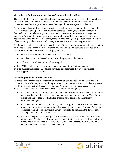# <span id="page-18-0"></span>**Methods for Collecting and Verifying Configuration Item Data**

The level of information that should be tracked with configuration items is detailed enough and some of it changes frequently enough that automated methods are required to collect and maintain it. Two basic approaches are available: agent-based and agentless collection.

Agent-based collection depends upon a typically small program resident on devices that collect local information and update the configuration database. Although agents can be carefully designed to accommodate the specifics of each OS, this does introduce some management overhead. For example, the agents much be distributed, installed, and updated just like other applications on the devices. Furthermore, some systems managers might not want another piece of code running on devices that could in any way interfere with existing applications.

An alternative method is agentless data collection. With agentless information gathering, devices on the network are queried from a central server and no additional software is required on the device. This approach has several advantages, including:

- No software is required to remain resident on the client
- New devices can be detected without installing agents on the device
- Collection procedures are centrally managed

With a CMDB in place, an organization is just about ready to begin implementing serviceoriented management practices. There is, however, one other area that must be attended to optimizing policies and procedures.

# *Optimizing Policies and Procedures*

Automation and centralized management of information can help streamline operations and make them more efficient; however, doing so cannot optimize operations to provide the greatest benefit to the organization. Consider an example. A hypothetical company has an ad-hoc approach to management and addresses basic tasks in the following ways:

- When new employees join the company, a notebook is ordered for the new worker unless one is readily available, perhaps from someone who just left the company. There is no central tracking of assets, so finding an existing asset depends on the memory of individual managers.
- When a vendor announces a patch, the systems managers decide at that time to install it or not, sometimes testing on non-production systems first and sometimes not. Without a prioritized ranking of assets, there is no way to quickly determine all the devices that should get the patch and in what order.
- Frontline IT support occasionally makes the rounds to check the status of anti-malware on notebooks. Most of the sales staff spend most of their time out of the office, so finding time to check their devices is a challenge. There is no single system for tracking which devices have been checked and which have not.



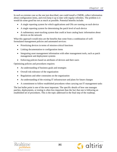In such as extreme case as the one just described, one could install a CMDB, collect information about configuration items, and even keep it up to date with regular refreshes. The problem is it would do some good but not as much as possible. Potential benefits include:

- A single reporting system for which applications and OSs are running on each device
- A single reporting system for determining the patch level of each device
- A rudimentary asset-tracking system that could at least catalog basic information about devices on the network

What this approach would miss are the benefits that come from a combination of wellformulated management policies and automated services:

- Prioritizing devices in terms of mission-critical functions
- Linking documentation to configuration items
- Integrating asset management information with other management tools, such as patch management and deployment systems
- Enforcing policies based on attributes of devices and their users

Optimizing policies and procedures requires:

- An understanding of business goals and strategies
- Overall risk tolerance of the organization
- Regulations and other constraints on the organization
- An understanding of the existing IT infrastructure and plans for future changes
- A commitment to follow established procedures when carrying out IT management tasks

The last bullet point is one of the most important. The specific details of how one manages patches, deployments, or testing is often less important than the fact that one is following an established set of procedures. This is the topic addressed in the final step of the roadmap.



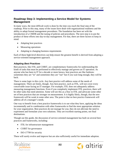# <span id="page-20-0"></span>**Roadmap Step 3: Implementing a Service Model for Systems Management**

In many ways, the most difficult work is done by the time you reach the final step of the roadmap. Prior to this step, many of the issues have dealt with organizational readiness and the ability to adopt formal management procedures. The foundation has been set with the introduction of a CMDB and the tuning of policies and procedures. The next step is to put the product of these efforts into day-to-day management. For that, there are three factors to keep in mind:

- Adapting best practices
- Measuring operations
- Adapting to changing business requirements

Each of these high-level directives can help ensure the greatest benefit is derived from adopting a service-oriented management approach.

# *Adapting Best Practices*

Best practices, like ITIL and COBIT, are complementary frameworks for understanding the kinds of tasks that must be performed to effectively manage and govern an IT operation. As anyone who has been in IT for a decade or more knows, best practices are like fashions: sometimes they are "in" and sometimes they are "out" but if you wait long enough, they will be back.

There is some logic to this cycle. Any best practice will address some of the needs of management. There are limits, though. Any best practice, such as ITIL, will not cover every conceivable issue facing an IT manager. For example, ITIL does not adequately address measuring management functions. Even if you completely implement ITIL practices, there will be other tasks that need attention. Some will see this as a flaw in ITIL and advocate some other set of best practices that are stronger on measurement. It is highly likely, though, that the new framework will be weak in some other area. The point is that no best practice framework will address all of a manager's needs.

One way to benefit from a best practice frameworks is to use what they have, applying the ideas incrementally and in combination with other frameworks to find the most appropriate solution for your organization. Best practices do not manage for you; they do not alleviate the need to experiment and formulate your own solutions. They are excellent starting points, not final destinations.

Though out this guide, the discussion of service-oriented management has built on several best practices and frameworks, including:

- ITIL for infrastructure management
- COBIT for governance
- ISO-17799 for security

These will surely evolve and improve but are also sufficiently useful for immediate adoption.



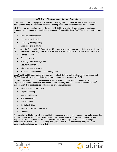#### **COBIT and ITIL: Complementary not Competitive**

COBIT and ITIL are both popular frameworks for managing IT, but they address different levels of management. They are best seen as complementing each other, not competing with each other.

COBIT is a governance framework. The goals of COBIT are to align IT operations with business objectives and to ensure successful implementation of those objectives. COBIT is divided into four main areas:

- Planning and organizing
- Acquiring and deploying
- **Delivering and supporting**
- Monitoring and evaluating

These cover the full breadth of IT operations. ITIL, however, is more focused on delivery of services and support, assuming proper alignment and governance are already in place. The core areas of ITIL are:

- Service support
- Service delivery
- Planning service management
- Security management
- Infrastructure management
- Application and software asset management

Both COBIT and ITIL can be implemented independently but the high-level executive perspective of COBIT also works well alongside the procedural management perspective of ITIL.

Another framework that is commonly used is the COSO framework (from Committee of Sponsoring Organizations of the Treadway Commission), which primarily addresses financial governance and management. This best practice addresses several areas, including:

- Internal control environment
- Objective setting
- **Event identification**
- Risk assessment
- Risk response
- Control activities
- Information and communication
- **Monitoring**

The objective of this framework is to identify the processes and executive management tasks associated with the rational pursuit of organizational objectives, the efficient use of resources, and proper and responsible reporting to stakeholders. COSO addresses broad organizational functions, not just IT operations, but it is often discussed, along with COBIT, as a means of achieving compliance with government regulations, particularly SOX.



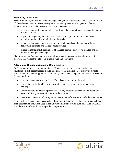# <span id="page-22-0"></span>*Measuring Operations*

There is an old saying that you cannot manage what you do not measure. This is certainly true in IT. One does not need to measure every aspect of every procedure and operation. Rather, it is better to find representative measures for key services, such as:

- In service support, the number of service desk calls, the duration of calls, and the number of calls escalated
- In patch management, the number of patches applied, the number of failed patch operations, and the time required to apply patches
- In deployment management, the number of devices updated, the number of failed deployment attempts, and the staff hours required
- In change management, the number of changes, the time to approve changes, and the number of emergency changes

Like best-practice frameworks, these examples are starting points for formulating sets of measures that reflect the state of IT infrastructure and operations.

# *Adapting to Changing Business Requirements*

Business requirements are dynamic. Sound IT management practices are relatively well structured but still accommodate change. The goal for IT management is to provide a stable infrastructure that can be applied in different ways and can be changed relatively easily. Several factors contribute to this:

- Use of management best practices—There is no re-inventing of the wheel
- Use of standardized architecture—Variations and exceptions increase management challenges
- Commitment to policies and procedures—Every exception to these creates potentially more work for systems administrators at later times
- Centralized repository of configuration data so that information is available when needed

Service-oriented management as described throughout this guide contributes to the adaptability of an organization and, when used in conjunction with best practices such as ITIL and COBIT, provides the foundation for an adaptable IT organization.